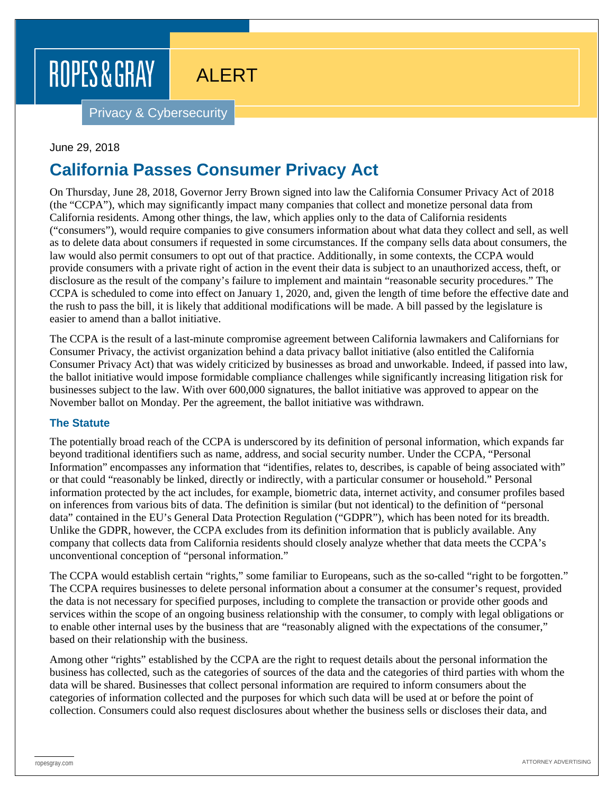# ROPES & GRAY

# ALERT

Privacy & Cybersecurity

#### June 29, 2018

## **California Passes Consumer Privacy Act**

On Thursday, June 28, 2018, Governor Jerry Brown signed into law the California Consumer Privacy Act of 2018 (the "CCPA"), which may significantly impact many companies that collect and monetize personal data from California residents. Among other things, the law, which applies only to the data of California residents ("consumers"), would require companies to give consumers information about what data they collect and sell, as well as to delete data about consumers if requested in some circumstances. If the company sells data about consumers, the law would also permit consumers to opt out of that practice. Additionally, in some contexts, the CCPA would provide consumers with a private right of action in the event their data is subject to an unauthorized access, theft, or disclosure as the result of the company's failure to implement and maintain "reasonable security procedures." The CCPA is scheduled to come into effect on January 1, 2020, and, given the length of time before the effective date and the rush to pass the bill, it is likely that additional modifications will be made. A bill passed by the legislature is easier to amend than a ballot initiative.

The CCPA is the result of a last-minute compromise agreement between California lawmakers and Californians for Consumer Privacy, the activist organization behind a data privacy ballot initiative (also entitled the California Consumer Privacy Act) that was widely criticized by businesses as broad and unworkable. Indeed, if passed into law, the ballot initiative would impose formidable compliance challenges while significantly increasing litigation risk for businesses subject to the law. With over 600,000 signatures, the ballot initiative was approved to appear on the November ballot on Monday. Per the agreement, the ballot initiative was withdrawn.

#### **The Statute**

The potentially broad reach of the CCPA is underscored by its definition of personal information, which expands far beyond traditional identifiers such as name, address, and social security number. Under the CCPA, "Personal Information" encompasses any information that "identifies, relates to, describes, is capable of being associated with" or that could "reasonably be linked, directly or indirectly, with a particular consumer or household." Personal information protected by the act includes, for example, biometric data, internet activity, and consumer profiles based on inferences from various bits of data. The definition is similar (but not identical) to the definition of "personal data" contained in the EU's General Data Protection Regulation ("GDPR"), which has been noted for its breadth. Unlike the GDPR, however, the CCPA excludes from its definition information that is publicly available. Any company that collects data from California residents should closely analyze whether that data meets the CCPA's unconventional conception of "personal information."

The CCPA would establish certain "rights," some familiar to Europeans, such as the so-called "right to be forgotten." The CCPA requires businesses to delete personal information about a consumer at the consumer's request, provided the data is not necessary for specified purposes, including to complete the transaction or provide other goods and services within the scope of an ongoing business relationship with the consumer, to comply with legal obligations or to enable other internal uses by the business that are "reasonably aligned with the expectations of the consumer," based on their relationship with the business.

Among other "rights" established by the CCPA are the right to request details about the personal information the business has collected, such as the categories of sources of the data and the categories of third parties with whom the data will be shared. Businesses that collect personal information are required to inform consumers about the categories of information collected and the purposes for which such data will be used at or before the point of collection. Consumers could also request disclosures about whether the business sells or discloses their data, and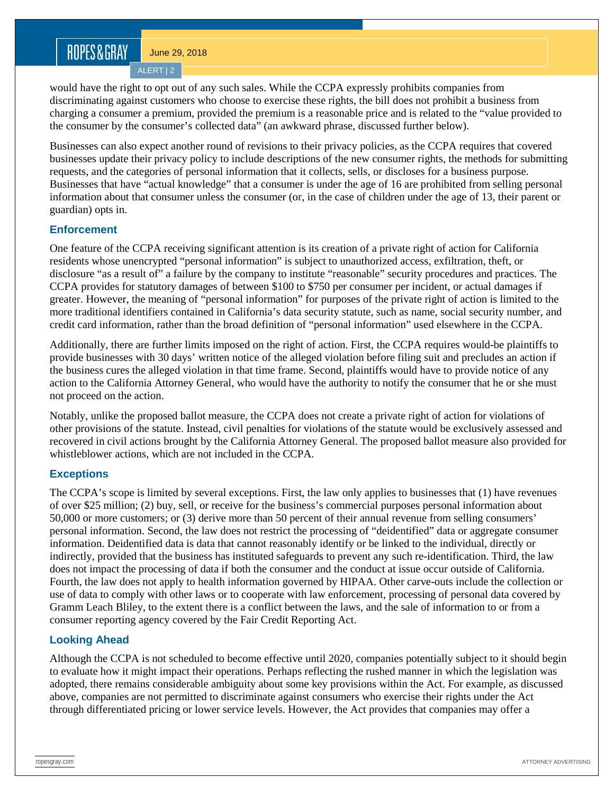### ROPES&GRAY

June 29, 2018

ALERT | 2

would have the right to opt out of any such sales. While the CCPA expressly prohibits companies from discriminating against customers who choose to exercise these rights, the bill does not prohibit a business from charging a consumer a premium, provided the premium is a reasonable price and is related to the "value provided to the consumer by the consumer's collected data" (an awkward phrase, discussed further below).

Businesses can also expect another round of revisions to their privacy policies, as the CCPA requires that covered businesses update their privacy policy to include descriptions of the new consumer rights, the methods for submitting requests, and the categories of personal information that it collects, sells, or discloses for a business purpose. Businesses that have "actual knowledge" that a consumer is under the age of 16 are prohibited from selling personal information about that consumer unless the consumer (or, in the case of children under the age of 13, their parent or guardian) opts in.

#### **Enforcement**

One feature of the CCPA receiving significant attention is its creation of a private right of action for California residents whose unencrypted "personal information" is subject to unauthorized access, exfiltration, theft, or disclosure "as a result of" a failure by the company to institute "reasonable" security procedures and practices. The CCPA provides for statutory damages of between \$100 to \$750 per consumer per incident, or actual damages if greater. However, the meaning of "personal information" for purposes of the private right of action is limited to the more traditional identifiers contained in California's data security statute, such as name, social security number, and credit card information, rather than the broad definition of "personal information" used elsewhere in the CCPA.

Additionally, there are further limits imposed on the right of action. First, the CCPA requires would-be plaintiffs to provide businesses with 30 days' written notice of the alleged violation before filing suit and precludes an action if the business cures the alleged violation in that time frame. Second, plaintiffs would have to provide notice of any action to the California Attorney General, who would have the authority to notify the consumer that he or she must not proceed on the action.

Notably, unlike the proposed ballot measure, the CCPA does not create a private right of action for violations of other provisions of the statute. Instead, civil penalties for violations of the statute would be exclusively assessed and recovered in civil actions brought by the California Attorney General. The proposed ballot measure also provided for whistleblower actions, which are not included in the CCPA.

### **Exceptions**

The CCPA's scope is limited by several exceptions. First, the law only applies to businesses that (1) have revenues of over \$25 million; (2) buy, sell, or receive for the business's commercial purposes personal information about 50,000 or more customers; or (3) derive more than 50 percent of their annual revenue from selling consumers' personal information. Second, the law does not restrict the processing of "deidentified" data or aggregate consumer information. Deidentified data is data that cannot reasonably identify or be linked to the individual, directly or indirectly, provided that the business has instituted safeguards to prevent any such re-identification. Third, the law does not impact the processing of data if both the consumer and the conduct at issue occur outside of California. Fourth, the law does not apply to health information governed by HIPAA. Other carve-outs include the collection or use of data to comply with other laws or to cooperate with law enforcement, processing of personal data covered by Gramm Leach Bliley, to the extent there is a conflict between the laws, and the sale of information to or from a consumer reporting agency covered by the Fair Credit Reporting Act.

#### **Looking Ahead**

Although the CCPA is not scheduled to become effective until 2020, companies potentially subject to it should begin to evaluate how it might impact their operations. Perhaps reflecting the rushed manner in which the legislation was adopted, there remains considerable ambiguity about some key provisions within the Act. For example, as discussed above, companies are not permitted to discriminate against consumers who exercise their rights under the Act through differentiated pricing or lower service levels. However, the Act provides that companies may offer a